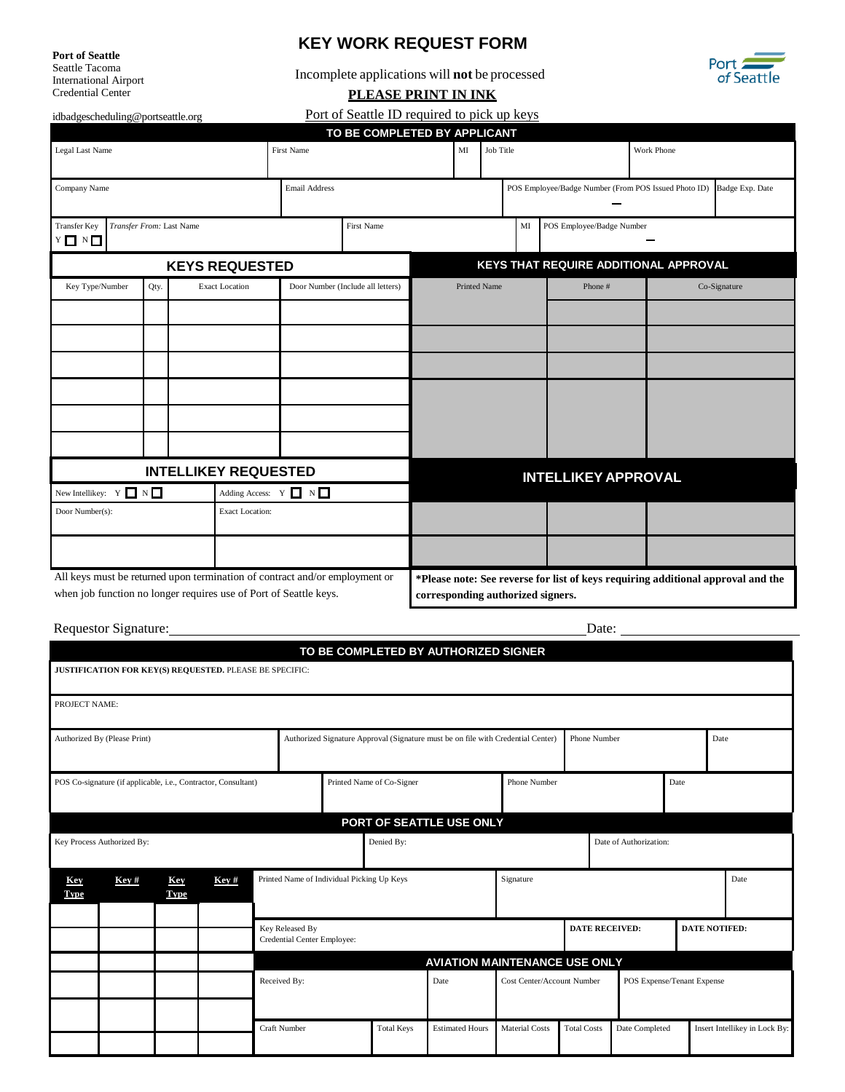**Port of Seattle** 

Seattle Tacoma International Airport Credential Center

## **KEY WORK REQUEST FORM**

Incomplete applications will **not** be processed



**PLEASE PRINT IN INK**

[idbadgescheduling@portseattle.org](mailto:idbadgescheduling@portseattle.org)

Port of Seattle ID required to pick up keys

|                                                                                                                                                  |  |                       |                       |                                   | TO BE COMPLETED BY APPLICANT |                                                                                                                       |           |                           |                                                      |                                       |  |  |
|--------------------------------------------------------------------------------------------------------------------------------------------------|--|-----------------------|-----------------------|-----------------------------------|------------------------------|-----------------------------------------------------------------------------------------------------------------------|-----------|---------------------------|------------------------------------------------------|---------------------------------------|--|--|
| Legal Last Name                                                                                                                                  |  |                       |                       | First Name                        |                              | $\mathbf{M}$                                                                                                          | Job Title |                           |                                                      | Work Phone                            |  |  |
| Company Name                                                                                                                                     |  |                       |                       | Email Address                     |                              |                                                                                                                       |           |                           | POS Employee/Badge Number (From POS Issued Photo ID) | Badge Exp. Date                       |  |  |
| <b>Transfer Key</b><br>Transfer From: Last Name<br>$Y \Box Y \Box$                                                                               |  |                       |                       | <b>First Name</b>                 |                              |                                                                                                                       | MI        | POS Employee/Badge Number |                                                      |                                       |  |  |
|                                                                                                                                                  |  |                       | <b>KEYS REQUESTED</b> |                                   |                              |                                                                                                                       |           |                           |                                                      | KEYS THAT REQUIRE ADDITIONAL APPROVAL |  |  |
| Key Type/Number<br>Qty.                                                                                                                          |  | <b>Exact Location</b> |                       | Door Number (Include all letters) |                              | <b>Printed Name</b>                                                                                                   |           | Phone#                    |                                                      | Co-Signature                          |  |  |
|                                                                                                                                                  |  |                       |                       |                                   |                              |                                                                                                                       |           |                           |                                                      |                                       |  |  |
|                                                                                                                                                  |  |                       |                       |                                   |                              |                                                                                                                       |           |                           |                                                      |                                       |  |  |
|                                                                                                                                                  |  |                       |                       |                                   |                              |                                                                                                                       |           |                           |                                                      |                                       |  |  |
|                                                                                                                                                  |  |                       |                       |                                   |                              |                                                                                                                       |           |                           |                                                      |                                       |  |  |
|                                                                                                                                                  |  |                       |                       |                                   |                              |                                                                                                                       |           |                           |                                                      |                                       |  |  |
|                                                                                                                                                  |  |                       |                       |                                   |                              |                                                                                                                       |           |                           |                                                      |                                       |  |  |
| <b>INTELLIKEY REQUESTED</b>                                                                                                                      |  |                       |                       |                                   |                              | <b>INTELLIKEY APPROVAL</b>                                                                                            |           |                           |                                                      |                                       |  |  |
| New Intellikey: $Y \Box N$<br>Adding Access: $Y \square N \square$                                                                               |  |                       |                       |                                   |                              |                                                                                                                       |           |                           |                                                      |                                       |  |  |
| Door Number(s):<br><b>Exact Location:</b>                                                                                                        |  |                       |                       |                                   |                              |                                                                                                                       |           |                           |                                                      |                                       |  |  |
|                                                                                                                                                  |  |                       |                       |                                   |                              |                                                                                                                       |           |                           |                                                      |                                       |  |  |
| All keys must be returned upon termination of contract and/or employment or<br>when job function no longer requires use of Port of Seattle keys. |  |                       |                       |                                   |                              | *Please note: See reverse for list of keys requiring additional approval and the<br>corresponding authorized signers. |           |                           |                                                      |                                       |  |  |

| <b>Requestor Signature:</b> | Date: |
|-----------------------------|-------|
|                             |       |

| TO BE COMPLETED BY AUTHORIZED SIGNER                           |      |                    |      |                                                         |                           |                                                                                  |                        |                            |                                               |  |                            |      |                               |  |
|----------------------------------------------------------------|------|--------------------|------|---------------------------------------------------------|---------------------------|----------------------------------------------------------------------------------|------------------------|----------------------------|-----------------------------------------------|--|----------------------------|------|-------------------------------|--|
|                                                                |      |                    |      | JUSTIFICATION FOR KEY(S) REQUESTED. PLEASE BE SPECIFIC: |                           |                                                                                  |                        |                            |                                               |  |                            |      |                               |  |
| PROJECT NAME:                                                  |      |                    |      |                                                         |                           |                                                                                  |                        |                            |                                               |  |                            |      |                               |  |
| Authorized By (Please Print)                                   |      |                    |      |                                                         |                           | Authorized Signature Approval (Signature must be on file with Credential Center) |                        |                            | Phone Number                                  |  |                            |      | Date                          |  |
| POS Co-signature (if applicable, i.e., Contractor, Consultant) |      |                    |      |                                                         | Printed Name of Co-Signer |                                                                                  |                        |                            | Phone Number                                  |  |                            | Date |                               |  |
| PORT OF SEATTLE USE ONLY                                       |      |                    |      |                                                         |                           |                                                                                  |                        |                            |                                               |  |                            |      |                               |  |
| Key Process Authorized By:                                     |      |                    |      |                                                         | Denied By:                |                                                                                  |                        | Date of Authorization:     |                                               |  |                            |      |                               |  |
| Key<br><b>Type</b>                                             | Key# | Key<br><b>Type</b> | Key# | Printed Name of Individual Picking Up Keys              |                           |                                                                                  |                        | Signature<br>Date          |                                               |  |                            |      |                               |  |
|                                                                |      |                    |      | Key Released By<br>Credential Center Employee:          |                           |                                                                                  |                        |                            | <b>DATE RECEIVED:</b><br><b>DATE NOTIFED:</b> |  |                            |      |                               |  |
| <b>AVIATION MAINTENANCE USE ONLY</b>                           |      |                    |      |                                                         |                           |                                                                                  |                        |                            |                                               |  |                            |      |                               |  |
|                                                                |      |                    |      | Received By:                                            | Date                      |                                                                                  |                        | Cost Center/Account Number |                                               |  | POS Expense/Tenant Expense |      |                               |  |
|                                                                |      |                    |      | <b>Craft Number</b>                                     |                           | <b>Total Keys</b>                                                                | <b>Estimated Hours</b> | <b>Material Costs</b>      | <b>Total Costs</b>                            |  | Date Completed             |      | Insert Intellikey in Lock By: |  |